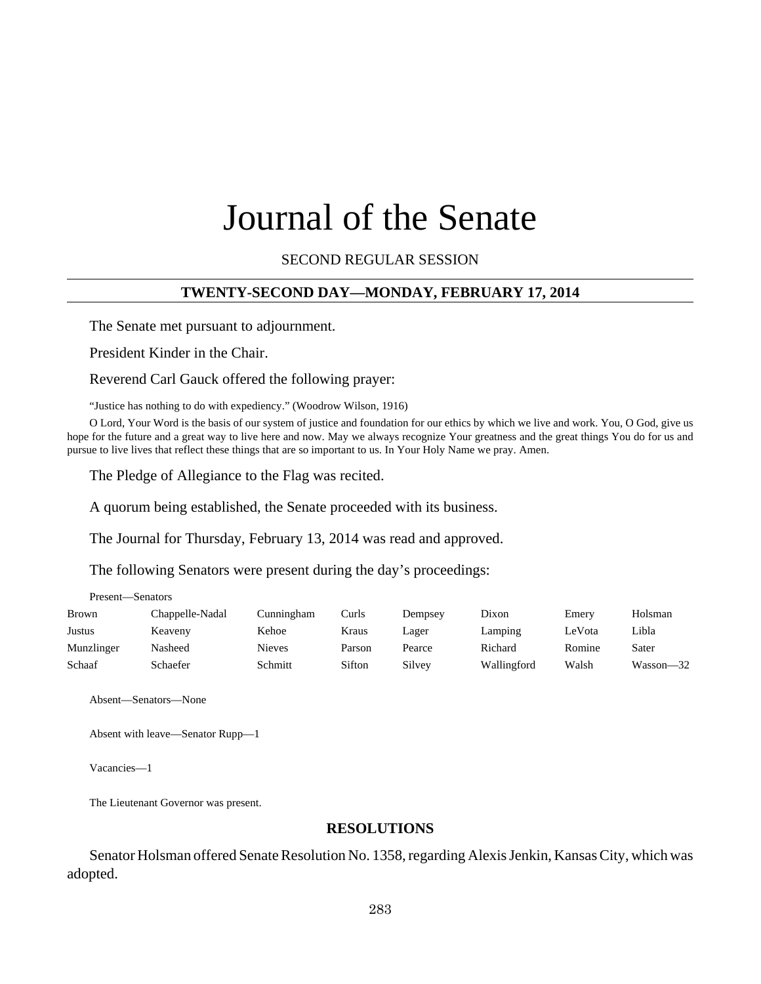# Journal of the Senate

SECOND REGULAR SESSION

#### **TWENTY-SECOND DAY—MONDAY, FEBRUARY 17, 2014**

The Senate met pursuant to adjournment.

President Kinder in the Chair.

Reverend Carl Gauck offered the following prayer:

"Justice has nothing to do with expediency." (Woodrow Wilson, 1916)

O Lord, Your Word is the basis of our system of justice and foundation for our ethics by which we live and work. You, O God, give us hope for the future and a great way to live here and now. May we always recognize Your greatness and the great things You do for us and pursue to live lives that reflect these things that are so important to us. In Your Holy Name we pray. Amen.

The Pledge of Allegiance to the Flag was recited.

A quorum being established, the Senate proceeded with its business.

The Journal for Thursday, February 13, 2014 was read and approved.

The following Senators were present during the day's proceedings:

| Brown      | Chappelle-Nadal | Cunningham    | Curls  | Dempsey | Dixon       | Emery  | Holsman   |
|------------|-----------------|---------------|--------|---------|-------------|--------|-----------|
| Justus     | Keaveny         | Kehoe         | Kraus  | Lager   | Lamping     | LeVota | Libla     |
| Munzlinger | Nasheed         | <b>Nieves</b> | Parson | Pearce  | Richard     | Romine | Sater     |
| Schaaf     | Schaefer        | Schmitt       | Sifton | Silvey  | Wallingford | Walsh  | Wasson-32 |

Absent—Senators—None

Present—Senators

Absent with leave—Senator Rupp—1

Vacancies—1

The Lieutenant Governor was present.

#### **RESOLUTIONS**

Senator Holsman offered Senate Resolution No. 1358, regarding Alexis Jenkin, Kansas City, which was adopted.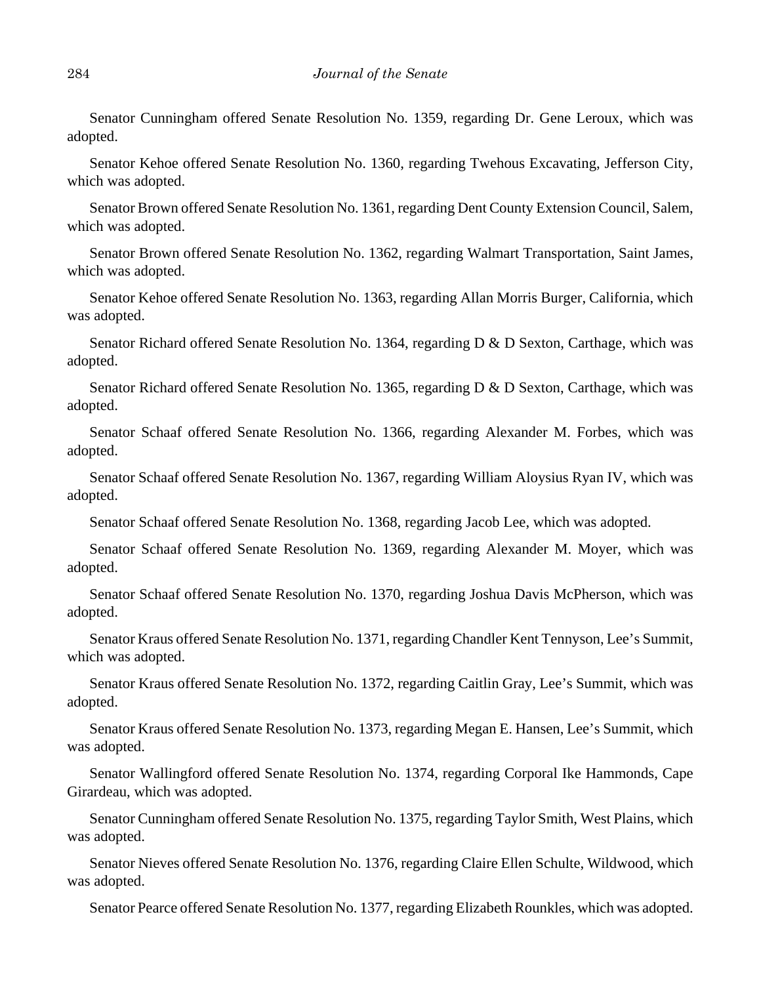Senator Cunningham offered Senate Resolution No. 1359, regarding Dr. Gene Leroux, which was adopted.

Senator Kehoe offered Senate Resolution No. 1360, regarding Twehous Excavating, Jefferson City, which was adopted.

Senator Brown offered Senate Resolution No. 1361, regarding Dent County Extension Council, Salem, which was adopted.

Senator Brown offered Senate Resolution No. 1362, regarding Walmart Transportation, Saint James, which was adopted.

Senator Kehoe offered Senate Resolution No. 1363, regarding Allan Morris Burger, California, which was adopted.

Senator Richard offered Senate Resolution No. 1364, regarding D & D Sexton, Carthage, which was adopted.

Senator Richard offered Senate Resolution No. 1365, regarding D & D Sexton, Carthage, which was adopted.

Senator Schaaf offered Senate Resolution No. 1366, regarding Alexander M. Forbes, which was adopted.

Senator Schaaf offered Senate Resolution No. 1367, regarding William Aloysius Ryan IV, which was adopted.

Senator Schaaf offered Senate Resolution No. 1368, regarding Jacob Lee, which was adopted.

Senator Schaaf offered Senate Resolution No. 1369, regarding Alexander M. Moyer, which was adopted.

Senator Schaaf offered Senate Resolution No. 1370, regarding Joshua Davis McPherson, which was adopted.

Senator Kraus offered Senate Resolution No. 1371, regarding Chandler Kent Tennyson, Lee's Summit, which was adopted.

Senator Kraus offered Senate Resolution No. 1372, regarding Caitlin Gray, Lee's Summit, which was adopted.

Senator Kraus offered Senate Resolution No. 1373, regarding Megan E. Hansen, Lee's Summit, which was adopted.

Senator Wallingford offered Senate Resolution No. 1374, regarding Corporal Ike Hammonds, Cape Girardeau, which was adopted.

Senator Cunningham offered Senate Resolution No. 1375, regarding Taylor Smith, West Plains, which was adopted.

Senator Nieves offered Senate Resolution No. 1376, regarding Claire Ellen Schulte, Wildwood, which was adopted.

Senator Pearce offered Senate Resolution No. 1377, regarding Elizabeth Rounkles, which was adopted.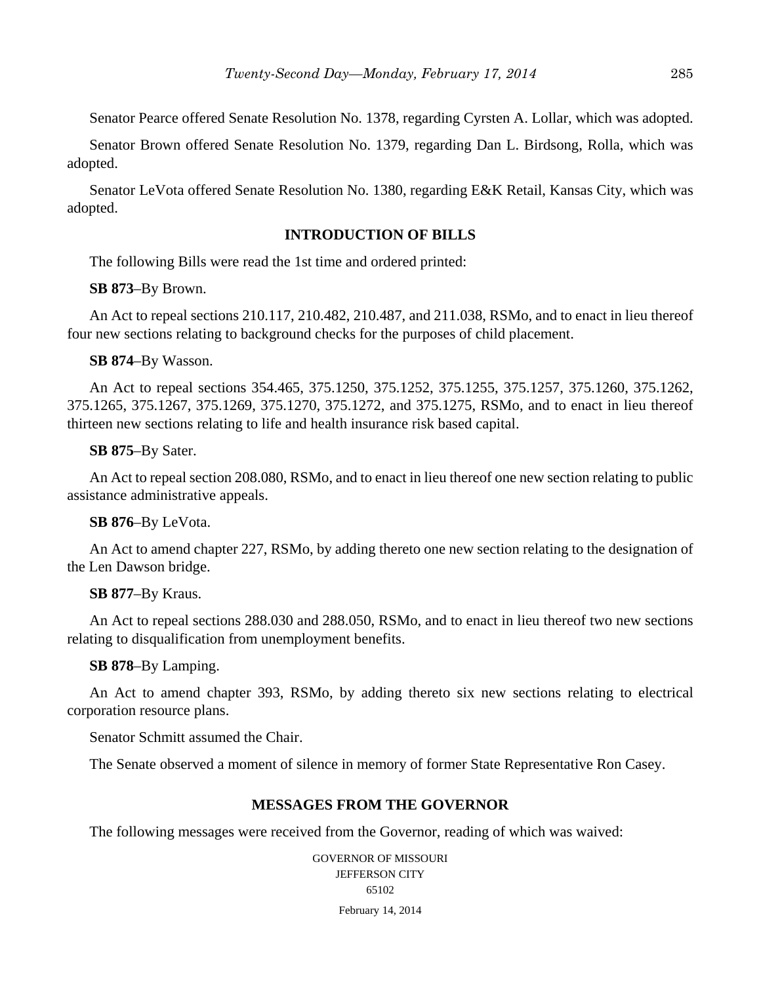Senator Pearce offered Senate Resolution No. 1378, regarding Cyrsten A. Lollar, which was adopted.

Senator Brown offered Senate Resolution No. 1379, regarding Dan L. Birdsong, Rolla, which was adopted.

Senator LeVota offered Senate Resolution No. 1380, regarding E&K Retail, Kansas City, which was adopted.

# **INTRODUCTION OF BILLS**

The following Bills were read the 1st time and ordered printed:

**SB 873**–By Brown.

An Act to repeal sections 210.117, 210.482, 210.487, and 211.038, RSMo, and to enact in lieu thereof four new sections relating to background checks for the purposes of child placement.

**SB 874**–By Wasson.

An Act to repeal sections 354.465, 375.1250, 375.1252, 375.1255, 375.1257, 375.1260, 375.1262, 375.1265, 375.1267, 375.1269, 375.1270, 375.1272, and 375.1275, RSMo, and to enact in lieu thereof thirteen new sections relating to life and health insurance risk based capital.

#### **SB 875**–By Sater.

An Act to repeal section 208.080, RSMo, and to enact in lieu thereof one new section relating to public assistance administrative appeals.

## **SB 876**–By LeVota.

An Act to amend chapter 227, RSMo, by adding thereto one new section relating to the designation of the Len Dawson bridge.

## **SB 877**–By Kraus.

An Act to repeal sections 288.030 and 288.050, RSMo, and to enact in lieu thereof two new sections relating to disqualification from unemployment benefits.

#### **SB 878**–By Lamping.

An Act to amend chapter 393, RSMo, by adding thereto six new sections relating to electrical corporation resource plans.

Senator Schmitt assumed the Chair.

The Senate observed a moment of silence in memory of former State Representative Ron Casey.

## **MESSAGES FROM THE GOVERNOR**

The following messages were received from the Governor, reading of which was waived:

GOVERNOR OF MISSOURI JEFFERSON CITY 65102 February 14, 2014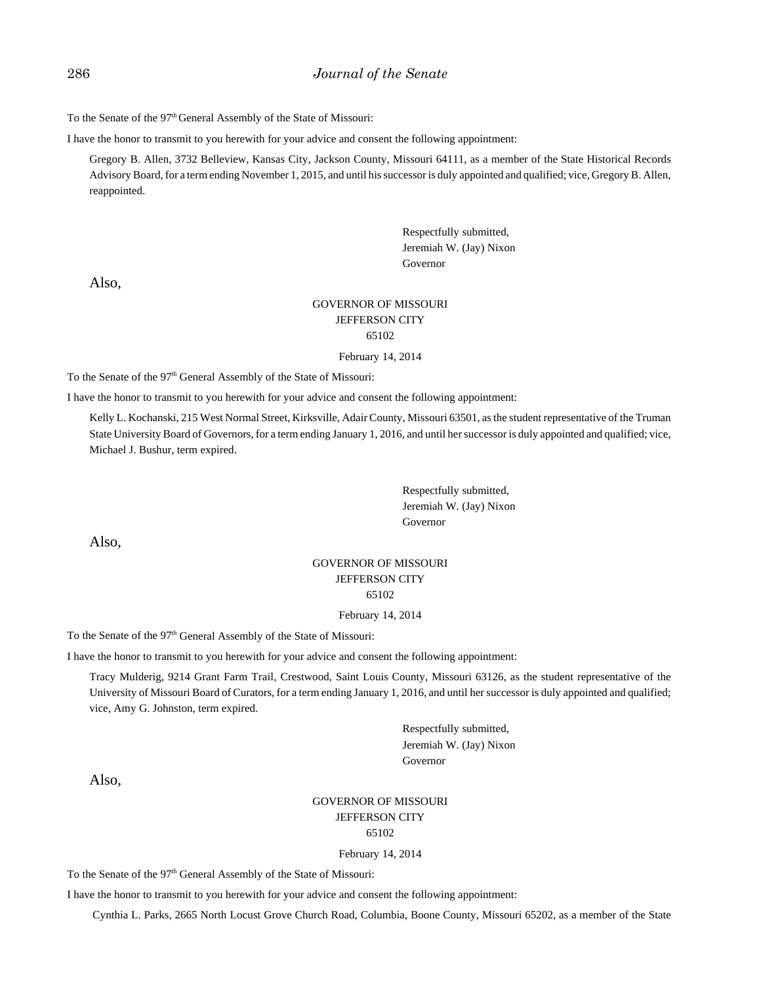To the Senate of the 97<sup>th</sup> General Assembly of the State of Missouri:

I have the honor to transmit to you herewith for your advice and consent the following appointment:

Gregory B. Allen, 3732 Belleview, Kansas City, Jackson County, Missouri 64111, as a member of the State Historical Records Advisory Board, for a term ending November 1, 2015, and until his successor is duly appointed and qualified; vice, Gregory B. Allen, reappointed.

> Respectfully submitted, Jeremiah W. (Jay) Nixon Governor

Also,

#### GOVERNOR OF MISSOURI JEFFERSON CITY 65102

February 14, 2014

To the Senate of the 97<sup>th</sup> General Assembly of the State of Missouri:

I have the honor to transmit to you herewith for your advice and consent the following appointment:

Kelly L. Kochanski, 215 West Normal Street, Kirksville, Adair County, Missouri 63501, as the student representative of the Truman State University Board of Governors, for a term ending January 1, 2016, and until her successor is duly appointed and qualified; vice, Michael J. Bushur, term expired.

> Respectfully submitted, Jeremiah W. (Jay) Nixon Governor

Also,

#### GOVERNOR OF MISSOURI JEFFERSON CITY 65102

#### February 14, 2014

To the Senate of the 97<sup>th</sup> General Assembly of the State of Missouri:

I have the honor to transmit to you herewith for your advice and consent the following appointment:

Tracy Mulderig, 9214 Grant Farm Trail, Crestwood, Saint Louis County, Missouri 63126, as the student representative of the University of Missouri Board of Curators, for a term ending January 1, 2016, and until her successor is duly appointed and qualified; vice, Amy G. Johnston, term expired.

> Respectfully submitted, Jeremiah W. (Jay) Nixon Governor

Also,

#### GOVERNOR OF MISSOURI JEFFERSON CITY 65102

#### February 14, 2014

To the Senate of the 97<sup>th</sup> General Assembly of the State of Missouri:

I have the honor to transmit to you herewith for your advice and consent the following appointment:

Cynthia L. Parks, 2665 North Locust Grove Church Road, Columbia, Boone County, Missouri 65202, as a member of the State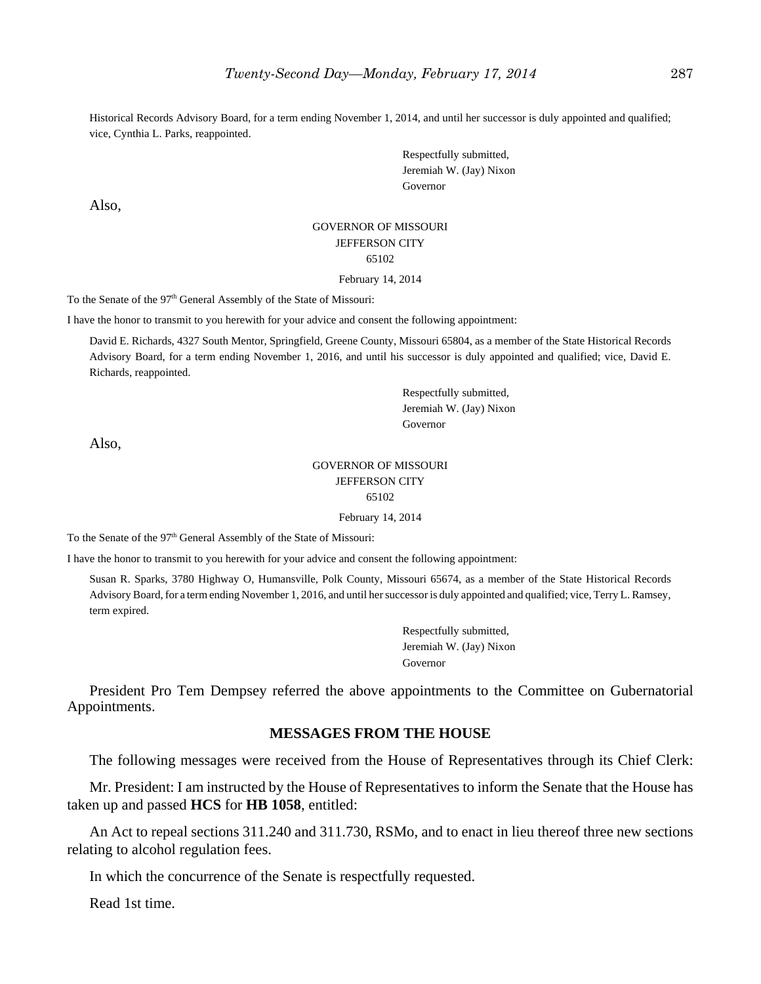Historical Records Advisory Board, for a term ending November 1, 2014, and until her successor is duly appointed and qualified; vice, Cynthia L. Parks, reappointed.

> Respectfully submitted, Jeremiah W. (Jay) Nixon Governor

Also,

#### GOVERNOR OF MISSOURI JEFFERSON CITY 65102 February 14, 2014

To the Senate of the 97<sup>th</sup> General Assembly of the State of Missouri:

I have the honor to transmit to you herewith for your advice and consent the following appointment:

David E. Richards, 4327 South Mentor, Springfield, Greene County, Missouri 65804, as a member of the State Historical Records Advisory Board, for a term ending November 1, 2016, and until his successor is duly appointed and qualified; vice, David E. Richards, reappointed.

> Respectfully submitted, Jeremiah W. (Jay) Nixon Governor

Also,

#### GOVERNOR OF MISSOURI JEFFERSON CITY 65102

February 14, 2014

To the Senate of the 97<sup>th</sup> General Assembly of the State of Missouri:

I have the honor to transmit to you herewith for your advice and consent the following appointment:

Susan R. Sparks, 3780 Highway O, Humansville, Polk County, Missouri 65674, as a member of the State Historical Records Advisory Board, for a term ending November 1, 2016, and until her successor is duly appointed and qualified; vice, Terry L. Ramsey, term expired.

> Respectfully submitted, Jeremiah W. (Jay) Nixon Governor

President Pro Tem Dempsey referred the above appointments to the Committee on Gubernatorial Appointments.

# **MESSAGES FROM THE HOUSE**

The following messages were received from the House of Representatives through its Chief Clerk:

Mr. President: I am instructed by the House of Representatives to inform the Senate that the House has taken up and passed **HCS** for **HB 1058**, entitled:

An Act to repeal sections 311.240 and 311.730, RSMo, and to enact in lieu thereof three new sections relating to alcohol regulation fees.

In which the concurrence of the Senate is respectfully requested.

Read 1st time.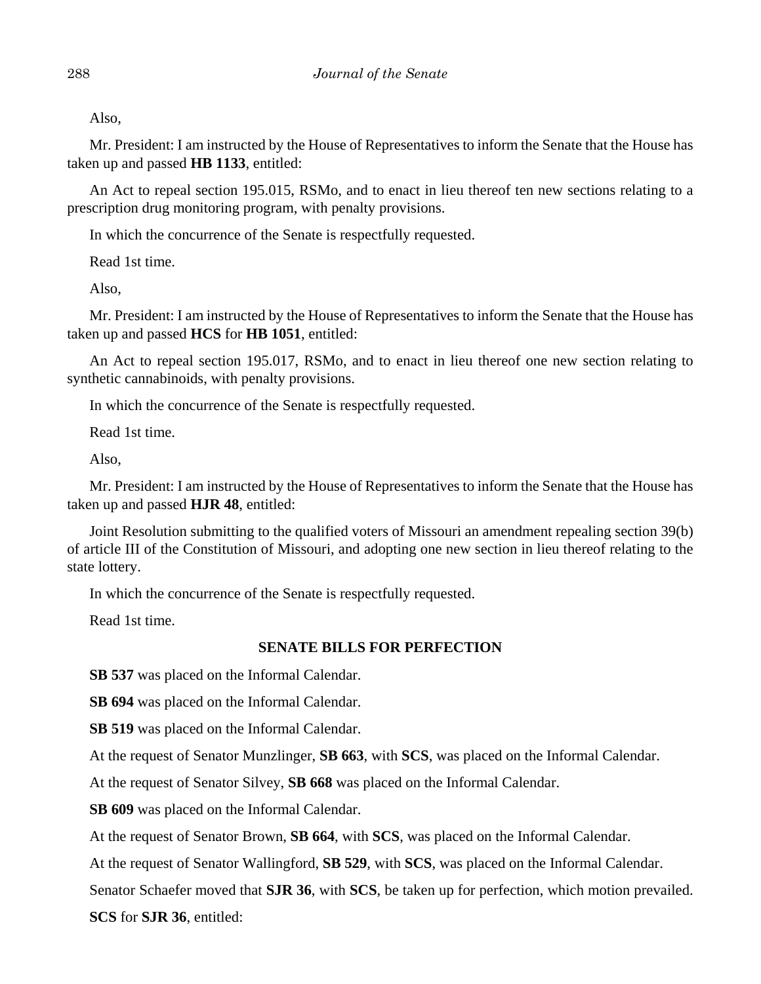Also,

Mr. President: I am instructed by the House of Representatives to inform the Senate that the House has taken up and passed **HB 1133**, entitled:

An Act to repeal section 195.015, RSMo, and to enact in lieu thereof ten new sections relating to a prescription drug monitoring program, with penalty provisions.

In which the concurrence of the Senate is respectfully requested.

Read 1st time.

Also,

Mr. President: I am instructed by the House of Representatives to inform the Senate that the House has taken up and passed **HCS** for **HB 1051**, entitled:

An Act to repeal section 195.017, RSMo, and to enact in lieu thereof one new section relating to synthetic cannabinoids, with penalty provisions.

In which the concurrence of the Senate is respectfully requested.

Read 1st time.

Also,

Mr. President: I am instructed by the House of Representatives to inform the Senate that the House has taken up and passed **HJR 48**, entitled:

Joint Resolution submitting to the qualified voters of Missouri an amendment repealing section 39(b) of article III of the Constitution of Missouri, and adopting one new section in lieu thereof relating to the state lottery.

In which the concurrence of the Senate is respectfully requested.

Read 1st time.

# **SENATE BILLS FOR PERFECTION**

**SB 537** was placed on the Informal Calendar.

**SB 694** was placed on the Informal Calendar.

**SB 519** was placed on the Informal Calendar.

At the request of Senator Munzlinger, **SB 663**, with **SCS**, was placed on the Informal Calendar.

At the request of Senator Silvey, **SB 668** was placed on the Informal Calendar.

**SB 609** was placed on the Informal Calendar.

At the request of Senator Brown, **SB 664**, with **SCS**, was placed on the Informal Calendar.

At the request of Senator Wallingford, **SB 529**, with **SCS**, was placed on the Informal Calendar.

Senator Schaefer moved that **SJR 36**, with **SCS**, be taken up for perfection, which motion prevailed.

**SCS** for **SJR 36**, entitled: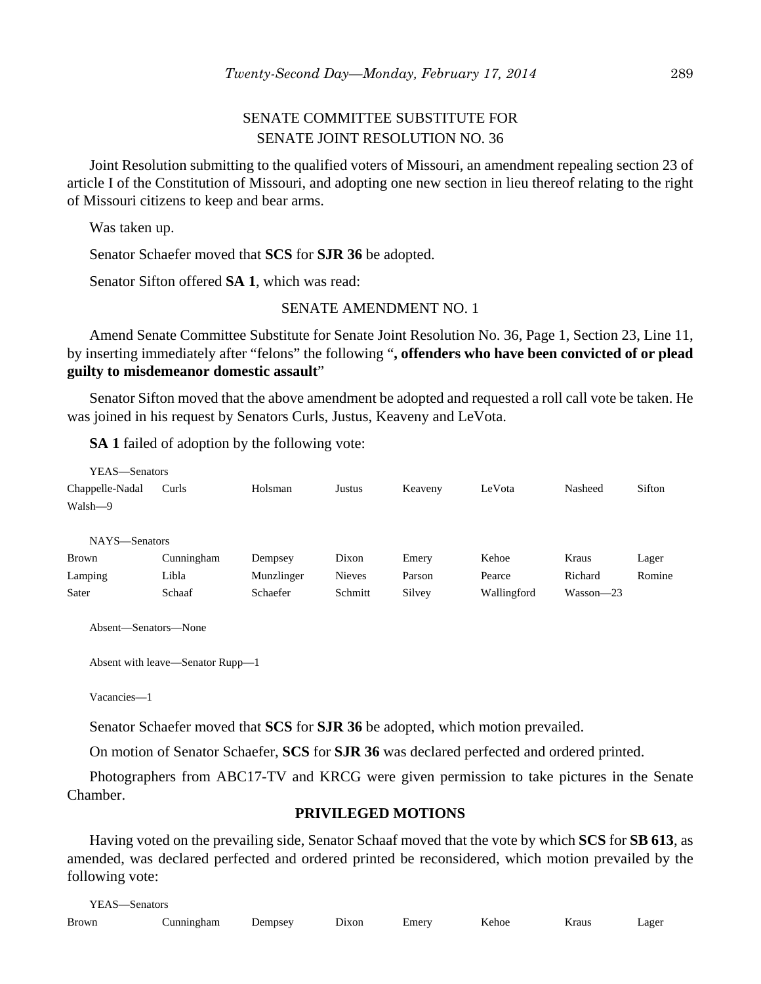# SENATE COMMITTEE SUBSTITUTE FOR SENATE JOINT RESOLUTION NO. 36

Joint Resolution submitting to the qualified voters of Missouri, an amendment repealing section 23 of article I of the Constitution of Missouri, and adopting one new section in lieu thereof relating to the right of Missouri citizens to keep and bear arms.

Was taken up.

Senator Schaefer moved that **SCS** for **SJR 36** be adopted.

Senator Sifton offered **SA 1**, which was read:

#### SENATE AMENDMENT NO. 1

Amend Senate Committee Substitute for Senate Joint Resolution No. 36, Page 1, Section 23, Line 11, by inserting immediately after "felons" the following "**, offenders who have been convicted of or plead guilty to misdemeanor domestic assault**"

Senator Sifton moved that the above amendment be adopted and requested a roll call vote be taken. He was joined in his request by Senators Curls, Justus, Keaveny and LeVota.

**SA 1** failed of adoption by the following vote:

| YEAS—Senators   |            |            |               |         |             |               |        |
|-----------------|------------|------------|---------------|---------|-------------|---------------|--------|
| Chappelle-Nadal | Curls      | Holsman    | Justus        | Keaveny | LeVota      | Nasheed       | Sifton |
| Walsh-9         |            |            |               |         |             |               |        |
|                 |            |            |               |         |             |               |        |
| NAYS-Senators   |            |            |               |         |             |               |        |
| <b>Brown</b>    | Cunningham | Dempsey    | Dixon         | Emery   | Kehoe       | Kraus         | Lager  |
| Lamping         | Libla      | Munzlinger | <b>Nieves</b> | Parson  | Pearce      | Richard       | Romine |
| Sater           | Schaaf     | Schaefer   | Schmitt       | Silvey  | Wallingford | $Wasson - 23$ |        |
|                 |            |            |               |         |             |               |        |

Absent—Senators—None

```
Absent with leave—Senator Rupp—1
```
Vacancies—1

Senator Schaefer moved that **SCS** for **SJR 36** be adopted, which motion prevailed.

On motion of Senator Schaefer, **SCS** for **SJR 36** was declared perfected and ordered printed.

Photographers from ABC17-TV and KRCG were given permission to take pictures in the Senate Chamber.

## **PRIVILEGED MOTIONS**

Having voted on the prevailing side, Senator Schaaf moved that the vote by which **SCS** for **SB 613**, as amended, was declared perfected and ordered printed be reconsidered, which motion prevailed by the following vote:

YEAS—Senators

| <b>Brown</b> | `unningham | Jemnsey<br>L | J(x)<br>------ | Emery | $T$ $T$ $T$ $T$<br><b>Kehoe</b> | Kraus<br>. | ∟ager |
|--------------|------------|--------------|----------------|-------|---------------------------------|------------|-------|
|              |            |              |                |       |                                 |            |       |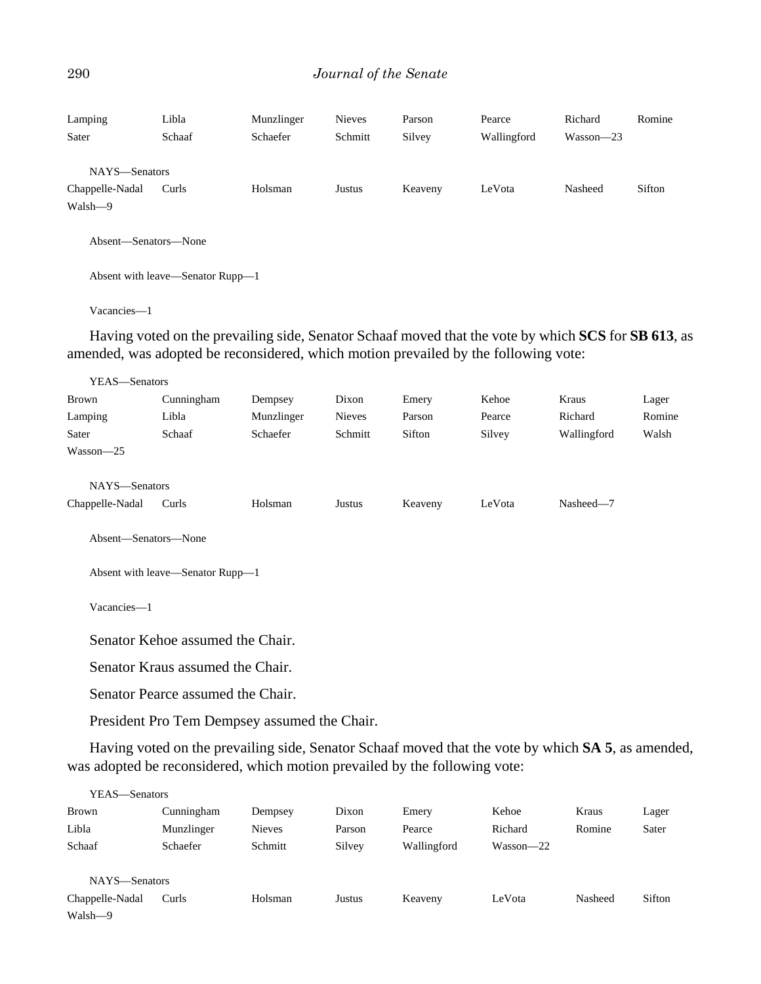#### 290 *Journal of the Senate*

| Lamping<br>Sater                            | Libla<br>Schaaf | Munzlinger<br>Schaefer | <b>Nieves</b><br>Schmitt | Parson<br>Silvey | Pearce<br>Wallingford | Richard<br>$Wasson - 23$ | Romine |
|---------------------------------------------|-----------------|------------------------|--------------------------|------------------|-----------------------|--------------------------|--------|
| NAYS-Senators<br>Chappelle-Nadal<br>Walsh-9 | Curls           | Holsman                | Justus                   | Keaveny          | LeVota                | Nasheed                  | Sifton |
| Absent—Senators—None                        |                 |                        |                          |                  |                       |                          |        |

Absent with leave—Senator Rupp—1

Vacancies—1

Having voted on the prevailing side, Senator Schaaf moved that the vote by which **SCS** for **SB 613**, as amended, was adopted be reconsidered, which motion prevailed by the following vote:

| YEAS-Senators        |            |            |               |         |        |             |        |
|----------------------|------------|------------|---------------|---------|--------|-------------|--------|
| Brown                | Cunningham | Dempsey    | Dixon         | Emery   | Kehoe  | Kraus       | Lager  |
| Lamping              | Libla      | Munzlinger | <b>Nieves</b> | Parson  | Pearce | Richard     | Romine |
| Sater                | Schaaf     | Schaefer   | Schmitt       | Sifton  | Silvey | Wallingford | Walsh  |
| $Wasson - 25$        |            |            |               |         |        |             |        |
|                      |            |            |               |         |        |             |        |
| NAYS-Senators        |            |            |               |         |        |             |        |
| Chappelle-Nadal      | Curls      | Holsman    | Justus        | Keaveny | LeVota | Nasheed-7   |        |
|                      |            |            |               |         |        |             |        |
| Absent—Senators—None |            |            |               |         |        |             |        |
|                      |            |            |               |         |        |             |        |

Absent with leave—Senator Rupp—1

Vacancies—1

Senator Kehoe assumed the Chair.

Senator Kraus assumed the Chair.

Senator Pearce assumed the Chair.

President Pro Tem Dempsey assumed the Chair.

Having voted on the prevailing side, Senator Schaaf moved that the vote by which **SA 5**, as amended, was adopted be reconsidered, which motion prevailed by the following vote:

| YEAS—Senators   |            |               |        |             |               |         |        |
|-----------------|------------|---------------|--------|-------------|---------------|---------|--------|
| Brown           | Cunningham | Dempsey       | Dixon  | Emery       | Kehoe         | Kraus   | Lager  |
| Libla           | Munzlinger | <b>Nieves</b> | Parson | Pearce      | Richard       | Romine  | Sater  |
| Schaaf          | Schaefer   | Schmitt       | Silvey | Wallingford | $Wasson - 22$ |         |        |
|                 |            |               |        |             |               |         |        |
| NAYS—Senators   |            |               |        |             |               |         |        |
| Chappelle-Nadal | Curls      | Holsman       | Justus | Keaveny     | LeVota        | Nasheed | Sifton |
| Walsh-9         |            |               |        |             |               |         |        |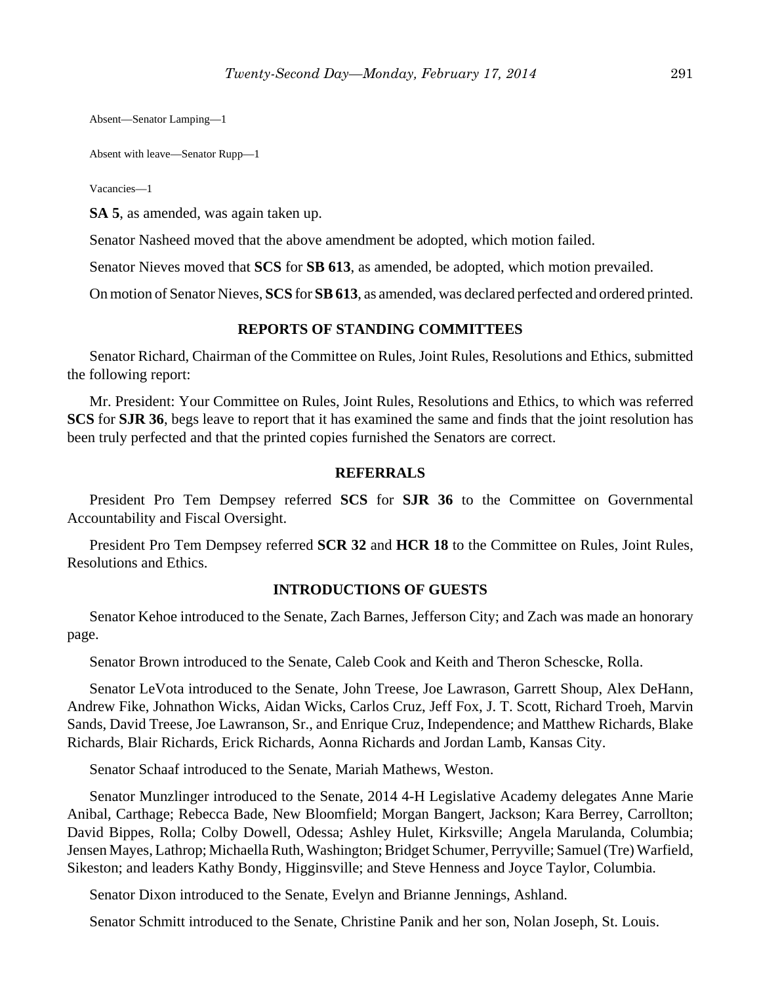Absent—Senator Lamping—1

Absent with leave—Senator Rupp—1

Vacancies—1

**SA 5**, as amended, was again taken up.

Senator Nasheed moved that the above amendment be adopted, which motion failed.

Senator Nieves moved that **SCS** for **SB 613**, as amended, be adopted, which motion prevailed.

On motion of Senator Nieves, **SCS** for **SB 613**, as amended, was declared perfected and ordered printed.

#### **REPORTS OF STANDING COMMITTEES**

Senator Richard, Chairman of the Committee on Rules, Joint Rules, Resolutions and Ethics, submitted the following report:

Mr. President: Your Committee on Rules, Joint Rules, Resolutions and Ethics, to which was referred **SCS** for **SJR 36**, begs leave to report that it has examined the same and finds that the joint resolution has been truly perfected and that the printed copies furnished the Senators are correct.

#### **REFERRALS**

President Pro Tem Dempsey referred **SCS** for **SJR 36** to the Committee on Governmental Accountability and Fiscal Oversight.

President Pro Tem Dempsey referred **SCR 32** and HCR 18 to the Committee on Rules, Joint Rules, Resolutions and Ethics.

#### **INTRODUCTIONS OF GUESTS**

Senator Kehoe introduced to the Senate, Zach Barnes, Jefferson City; and Zach was made an honorary page.

Senator Brown introduced to the Senate, Caleb Cook and Keith and Theron Schescke, Rolla.

Senator LeVota introduced to the Senate, John Treese, Joe Lawrason, Garrett Shoup, Alex DeHann, Andrew Fike, Johnathon Wicks, Aidan Wicks, Carlos Cruz, Jeff Fox, J. T. Scott, Richard Troeh, Marvin Sands, David Treese, Joe Lawranson, Sr., and Enrique Cruz, Independence; and Matthew Richards, Blake Richards, Blair Richards, Erick Richards, Aonna Richards and Jordan Lamb, Kansas City.

Senator Schaaf introduced to the Senate, Mariah Mathews, Weston.

Senator Munzlinger introduced to the Senate, 2014 4-H Legislative Academy delegates Anne Marie Anibal, Carthage; Rebecca Bade, New Bloomfield; Morgan Bangert, Jackson; Kara Berrey, Carrollton; David Bippes, Rolla; Colby Dowell, Odessa; Ashley Hulet, Kirksville; Angela Marulanda, Columbia; Jensen Mayes, Lathrop; Michaella Ruth, Washington; Bridget Schumer, Perryville; Samuel (Tre) Warfield, Sikeston; and leaders Kathy Bondy, Higginsville; and Steve Henness and Joyce Taylor, Columbia.

Senator Dixon introduced to the Senate, Evelyn and Brianne Jennings, Ashland.

Senator Schmitt introduced to the Senate, Christine Panik and her son, Nolan Joseph, St. Louis.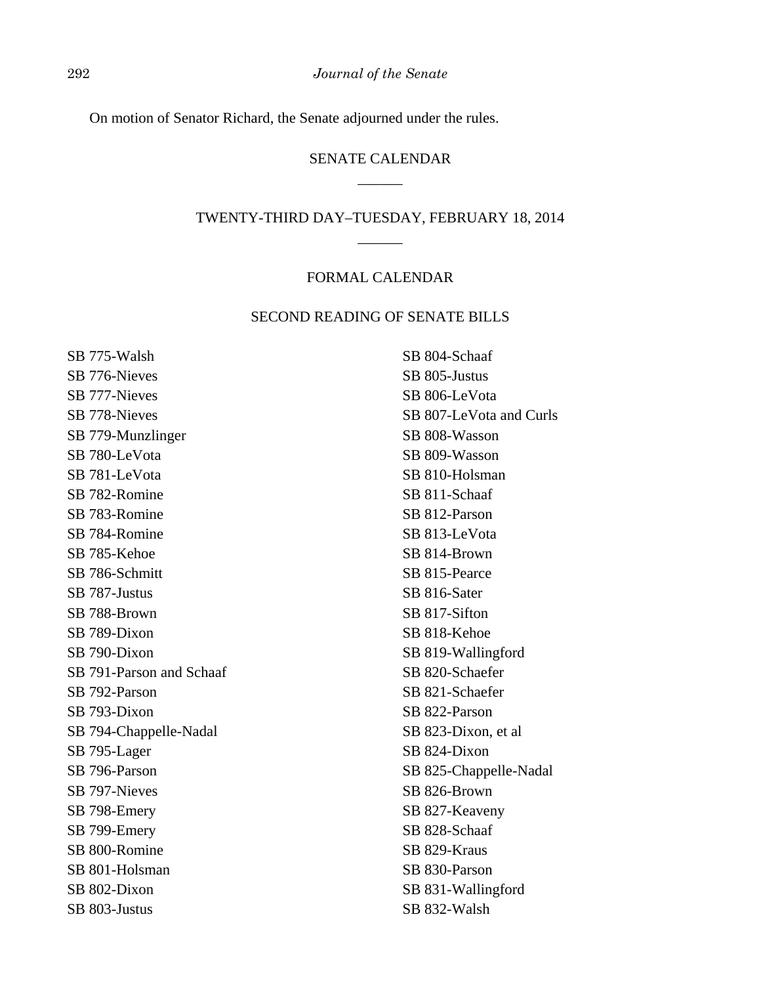On motion of Senator Richard, the Senate adjourned under the rules.

# SENATE CALENDAR  $\overline{\phantom{a}}$

# TWENTY-THIRD DAY–TUESDAY, FEBRUARY 18, 2014 \_\_\_\_\_\_

#### FORMAL CALENDAR

#### SECOND READING OF SENATE BILLS

SB 775-Walsh SB 776-Nieves SB 777-Nieves SB 778-Nieves SB 779-Munzlinger SB 780-LeVota SB 781-LeVota SB 782-Romine SB 783-Romine SB 784-Romine SB 785-Kehoe SB 786-Schmitt SB 787-Justus SB 788-Brown SB 789-Dixon SB 790-Dixon SB 791-Parson and Schaaf SB 792-Parson SB 793-Dixon SB 794-Chappelle-Nadal SB 795-Lager SB 796-Parson SB 797-Nieves SB 798-Emery SB 799-Emery SB 800-Romine SB 801-Holsman SB 802-Dixon SB 803-Justus

SB 804-Schaaf SB 805-Justus SB 806-LeVota SB 807-LeVota and Curls SB 808-Wasson SB 809-Wasson SB 810-Holsman SB 811-Schaaf SB 812-Parson SB 813-LeVota SB 814-Brown SB 815-Pearce SB 816-Sater SB 817-Sifton SB 818-Kehoe SB 819-Wallingford SB 820-Schaefer SB 821-Schaefer SB 822-Parson SB 823-Dixon, et al SB 824-Dixon SB 825-Chappelle-Nadal SB 826-Brown SB 827-Keaveny SB 828-Schaaf SB 829-Kraus SB 830-Parson SB 831-Wallingford SB 832-Walsh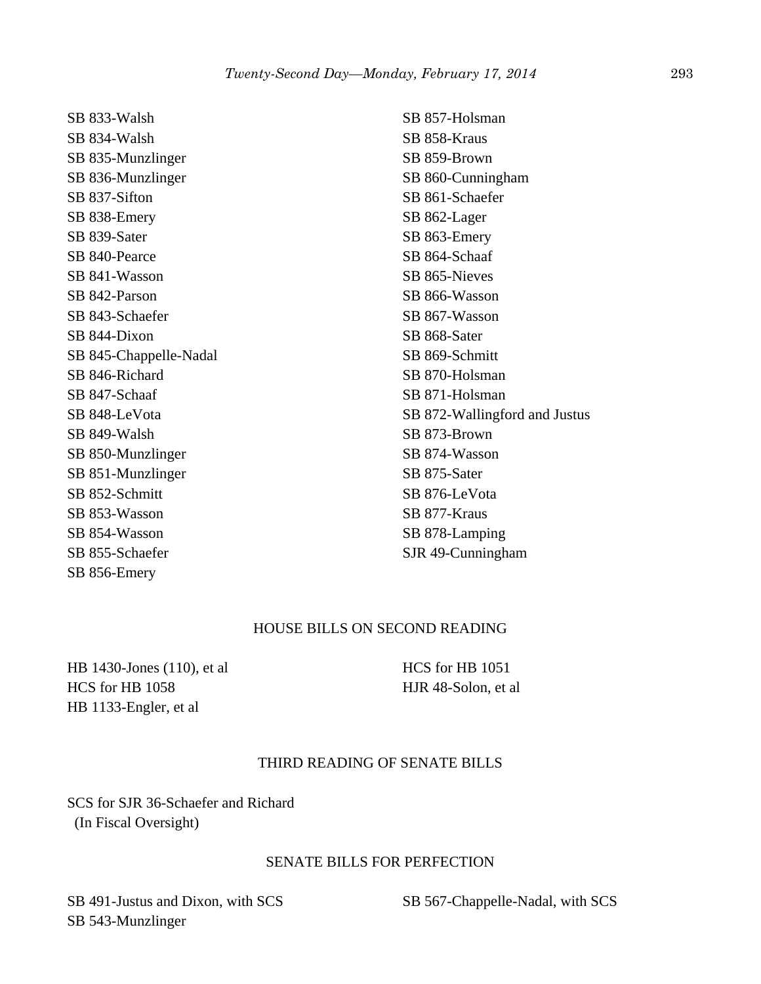SB 833-Walsh SB 834-Walsh SB 835-Munzlinger SB 836-Munzlinger SB 837-Sifton SB 838-Emery SB 839-Sater SB 840-Pearce SB 841-Wasson SB 842-Parson SB 843-Schaefer SB 844-Dixon SB 845-Chappelle-Nadal SB 846-Richard SB 847-Schaaf SB 848-LeVota SB 849-Walsh SB 850-Munzlinger SB 851-Munzlinger SB 852-Schmitt SB 853-Wasson SB 854-Wasson SB 855-Schaefer SB 856-Emery

SB 857-Holsman SB 858-Kraus SB 859-Brown SB 860-Cunningham SB 861-Schaefer SB 862-Lager SB 863-Emery SB 864-Schaaf SB 865-Nieves SB 866-Wasson SB 867-Wasson SB 868-Sater SB 869-Schmitt SB 870-Holsman SB 871-Holsman SB 872-Wallingford and Justus SB 873-Brown SB 874-Wasson SB 875-Sater SB 876-LeVota SB 877-Kraus SB 878-Lamping SJR 49-Cunningham

## HOUSE BILLS ON SECOND READING

HB 1430-Jones (110), et al HCS for HB 1058 HB 1133-Engler, et al

HCS for HB 1051 HJR 48-Solon, et al

## THIRD READING OF SENATE BILLS

SCS for SJR 36-Schaefer and Richard (In Fiscal Oversight)

#### SENATE BILLS FOR PERFECTION

SB 491-Justus and Dixon, with SCS SB 543-Munzlinger

SB 567-Chappelle-Nadal, with SCS